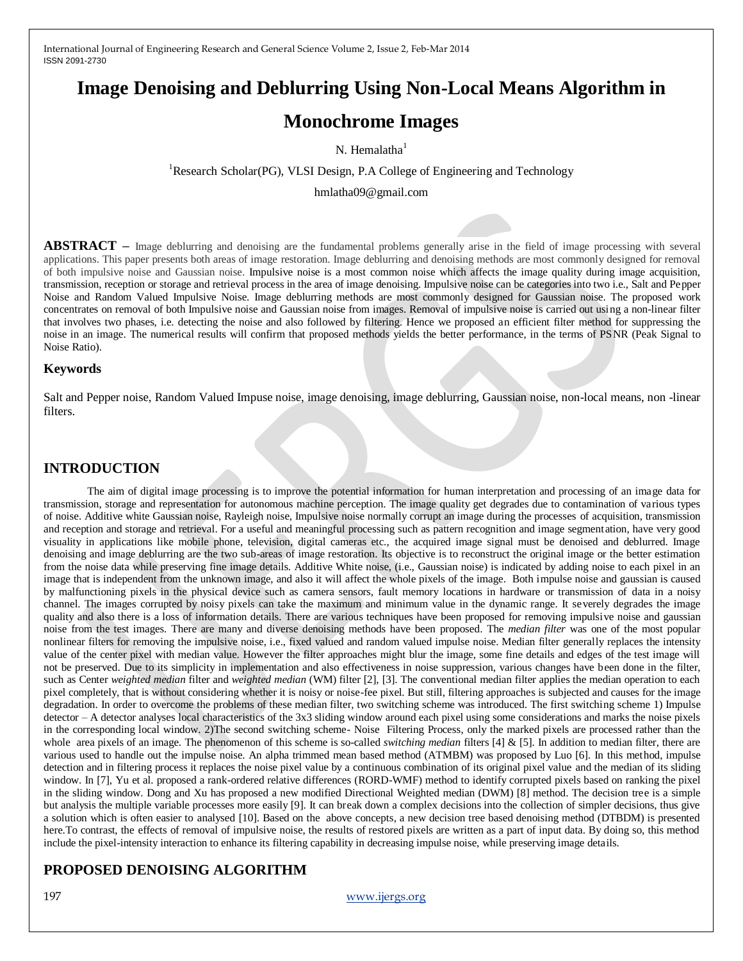# **Image Denoising and Deblurring Using Non-Local Means Algorithm in**

# **Monochrome Images**

N. Hemalatha $<sup>1</sup>$ </sup>

<sup>1</sup>Research Scholar(PG), VLSI Design, P.A College of Engineering and Technology

hmlatha09@gmail.com

**ABSTRACT –** Image deblurring and denoising are the fundamental problems generally arise in the field of image processing with several applications. This paper presents both areas of image restoration. Image deblurring and denoising methods are most commonly designed for removal of both impulsive noise and Gaussian noise. Impulsive noise is a most common noise which affects the image quality during image acquisition, transmission, reception or storage and retrieval process in the area of image denoising. Impulsive noise can be categories into two i.e., Salt and Pepper Noise and Random Valued Impulsive Noise. Image deblurring methods are most commonly designed for Gaussian noise. The proposed work concentrates on removal of both Impulsive noise and Gaussian noise from images. Removal of impulsive noise is carried out using a non-linear filter that involves two phases, i.e. detecting the noise and also followed by filtering. Hence we proposed an efficient filter method for suppressing the noise in an image. The numerical results will confirm that proposed methods yields the better performance, in the terms of PSNR (Peak Signal to Noise Ratio).

#### **Keywords**

Salt and Pepper noise, Random Valued Impuse noise, image denoising, image deblurring, Gaussian noise, non-local means, non -linear filters.

## **INTRODUCTION**

The aim of digital image processing is to improve the potential information for human interpretation and processing of an image data for transmission, storage and representation for autonomous machine perception. The image quality get degrades due to contamination of various types of noise. Additive white Gaussian noise, Rayleigh noise, Impulsive noise normally corrupt an image during the processes of acquisition, transmission and reception and storage and retrieval. For a useful and meaningful processing such as pattern recognition and image segmentation, have very good visuality in applications like mobile phone, television, digital cameras etc., the acquired image signal must be denoised and deblurred. Image denoising and image deblurring are the two sub-areas of image restoration. Its objective is to reconstruct the original image or the better estimation from the noise data while preserving fine image details. Additive White noise, (i.e., Gaussian noise) is indicated by adding noise to each pixel in an image that is independent from the unknown image, and also it will affect the whole pixels of the image. Both impulse noise and gaussian is caused by malfunctioning pixels in the physical device such as camera sensors, fault memory locations in hardware or transmission of data in a noisy channel. The images corrupted by noisy pixels can take the maximum and minimum value in the dynamic range. It severely degrades the image quality and also there is a loss of information details. There are various techniques have been proposed for removing impulsive noise and gaussian noise from the test images. There are many and diverse denoising methods have been proposed. The *median filter* was one of the most popular nonlinear filters for removing the impulsive noise, i.e., fixed valued and random valued impulse noise. Median filter generally replaces the intensity value of the center pixel with median value. However the filter approaches might blur the image, some fine details and edges of the test image will not be preserved. Due to its simplicity in implementation and also effectiveness in noise suppression, various changes have been done in the filter, such as Center *weighted median* filter and *weighted median* (WM) filter [2], [3]. The conventional median filter applies the median operation to each pixel completely, that is without considering whether it is noisy or noise-fee pixel. But still, filtering approaches is subjected and causes for the image degradation. In order to overcome the problems of these median filter, two switching scheme was introduced. The first switching scheme 1) Impulse detector – A detector analyses local characteristics of the 3x3 sliding window around each pixel using some considerations and marks the noise pixels in the corresponding local window. 2)The second switching scheme- Noise Filtering Process, only the marked pixels are processed rather than the whole area pixels of an image. The phenomenon of this scheme is so-called *switching median* filters [4] & [5]. In addition to median filter, there are various used to handle out the impulse noise. An alpha trimmed mean based method (ATMBM) was proposed by Luo [6]. In this method, impulse detection and in filtering process it replaces the noise pixel value by a continuous combination of its original pixel value and the median of its sliding window. In [7], Yu et al. proposed a rank-ordered relative differences (RORD-WMF) method to identify corrupted pixels based on ranking the pixel in the sliding window. Dong and Xu has proposed a new modified Directional Weighted median (DWM) [8] method. The decision tree is a simple but analysis the multiple variable processes more easily [9]. It can break down a complex decisions into the collection of simpler decisions, thus give a solution which is often easier to analysed [10]. Based on the above concepts, a new decision tree based denoising method (DTBDM) is presented here.To contrast, the effects of removal of impulsive noise, the results of restored pixels are written as a part of input data. By doing so, this method include the pixel-intensity interaction to enhance its filtering capability in decreasing impulse noise, while preserving image details.

# **PROPOSED DENOISING ALGORITHM**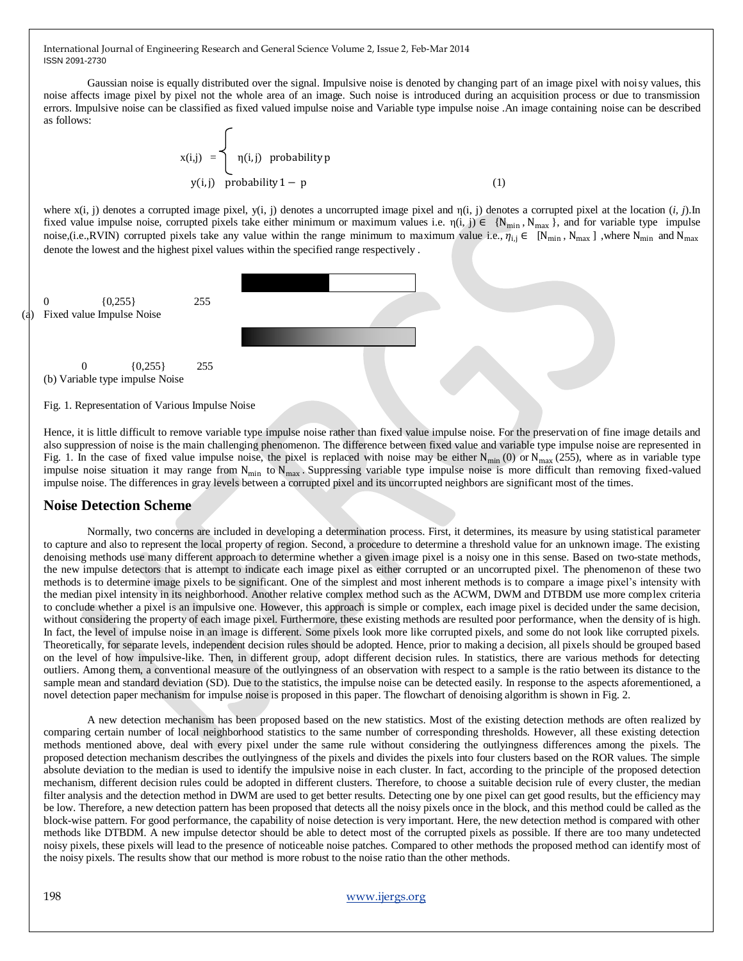Gaussian noise is equally distributed over the signal. Impulsive noise is denoted by changing part of an image pixel with noisy values, this noise affects image pixel by pixel not the whole area of an image. Such noise is introduced during an acquisition process or due to transmission errors. Impulsive noise can be classified as fixed valued impulse noise and Variable type impulse noise .An image containing noise can be described as follows: ╭

$$
x(i,j) = \begin{cases} \eta(i,j) & \text{probability } p \\ \eta(i,j) & \text{probability } 1-p \end{cases}
$$
 (1)

where x(i, j) denotes a corrupted image pixel, y(i, j) denotes a uncorrupted image pixel and η(i, j) denotes a corrupted pixel at the location (*i, j*).In fixed value impulse noise, corrupted pixels take either minimum or maximum values i.e.  $\eta(i, j) \in \{N_{min}, N_{max}\}\$ , and for variable type impulse noise,(i.e.,RVIN) corrupted pixels take any value within the range minimum to maximum value i.e.,  $\eta_{i,j} \in [N_{min}, N_{max}]$ , where  $N_{min}$  and  $N_{max}$ denote the lowest and the highest pixel values within the specified range respectively .



Hence, it is little difficult to remove variable type impulse noise rather than fixed value impulse noise. For the preservation of fine image details and also suppression of noise is the main challenging phenomenon. The difference between fixed value and variable type impulse noise are represented in Fig. 1. In the case of fixed value impulse noise, the pixel is replaced with noise may be either  $N_{min}(0)$  or  $N_{max}(255)$ , where as in variable type impulse noise situation it may range from  $N_{min}$  to  $N_{max}$ . Suppressing variable type impulse noise is more difficult than removing fixed-valued impulse noise. The differences in gray levels between a corrupted pixel and its uncorrupted neighbors are significant most of the times.

#### **Noise Detection Scheme**

Normally, two concerns are included in developing a determination process. First, it determines, its measure by using statistical parameter to capture and also to represent the local property of region. Second, a procedure to determine a threshold value for an unknown image. The existing denoising methods use many different approach to determine whether a given image pixel is a noisy one in this sense. Based on two-state methods, the new impulse detectors that is attempt to indicate each image pixel as either corrupted or an uncorrupted pixel. The phenomenon of these two methods is to determine image pixels to be significant. One of the simplest and most inherent methods is to compare a image pixel's intensity with the median pixel intensity in its neighborhood. Another relative complex method such as the ACWM, DWM and DTBDM use more complex criteria to conclude whether a pixel is an impulsive one. However, this approach is simple or complex, each image pixel is decided under the same decision, without considering the property of each image pixel. Furthermore, these existing methods are resulted poor performance, when the density of is high. In fact, the level of impulse noise in an image is different. Some pixels look more like corrupted pixels, and some do not look like corrupted pixels. Theoretically, for separate levels, independent decision rules should be adopted. Hence, prior to making a decision, all pixels should be grouped based on the level of how impulsive-like. Then, in different group, adopt different decision rules. In statistics, there are various methods for detecting outliers. Among them, a conventional measure of the outlyingness of an observation with respect to a sample is the ratio between its distance to the sample mean and standard deviation (SD). Due to the statistics, the impulse noise can be detected easily. In response to the aspects aforementioned, a novel detection paper mechanism for impulse noise is proposed in this paper. The flowchart of denoising algorithm is shown in Fig. 2.

A new detection mechanism has been proposed based on the new statistics. Most of the existing detection methods are often realized by comparing certain number of local neighborhood statistics to the same number of corresponding thresholds. However, all these existing detection methods mentioned above, deal with every pixel under the same rule without considering the outlyingness differences among the pixels. The proposed detection mechanism describes the outlyingness of the pixels and divides the pixels into four clusters based on the ROR values. The simple absolute deviation to the median is used to identify the impulsive noise in each cluster. In fact, according to the principle of the proposed detection mechanism, different decision rules could be adopted in different clusters. Therefore, to choose a suitable decision rule of every cluster, the median filter analysis and the detection method in DWM are used to get better results. Detecting one by one pixel can get good results, but the efficiency may be low. Therefore, a new detection pattern has been proposed that detects all the noisy pixels once in the block, and this method could be called as the block-wise pattern. For good performance, the capability of noise detection is very important. Here, the new detection method is compared with other methods like DTBDM. A new impulse detector should be able to detect most of the corrupted pixels as possible. If there are too many undetected noisy pixels, these pixels will lead to the presence of noticeable noise patches. Compared to other methods the proposed method can identify most of the noisy pixels. The results show that our method is more robust to the noise ratio than the other methods.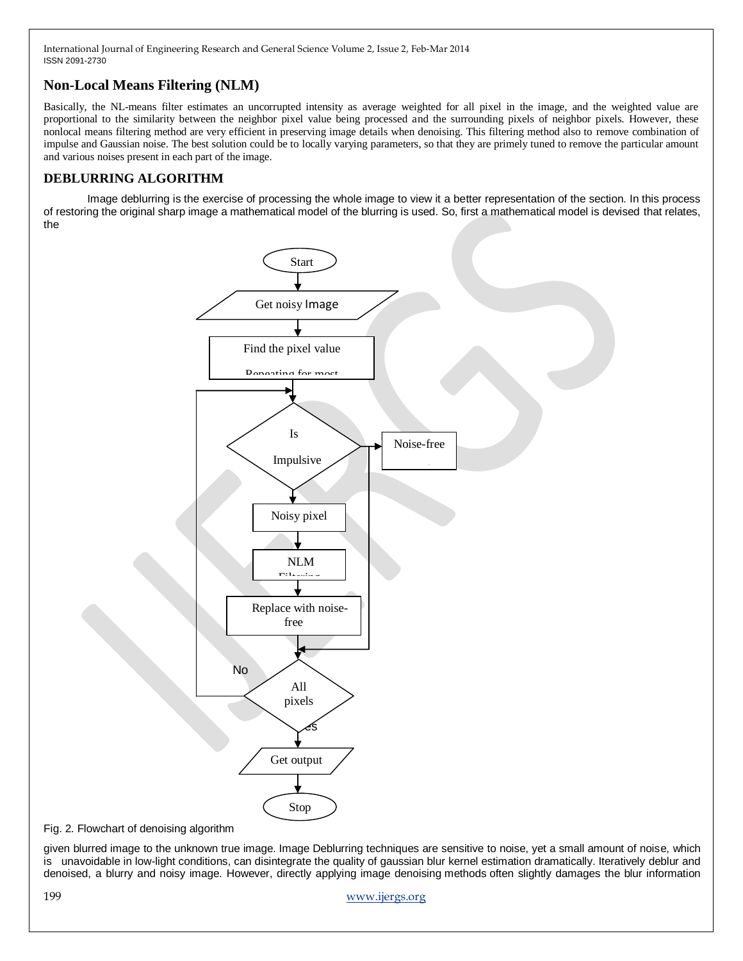## **Non-Local Means Filtering (NLM)**

Basically, the NL-means filter estimates an uncorrupted intensity as average weighted for all pixel in the image, and the weighted value are proportional to the similarity between the neighbor pixel value being processed and the surrounding pixels of neighbor pixels. However, these nonlocal means filtering method are very efficient in preserving image details when denoising. This filtering method also to remove combination of impulse and Gaussian noise. The best solution could be to locally varying parameters, so that they are primely tuned to remove the particular amount and various noises present in each part of the image.

### **DEBLURRING ALGORITHM**

Image deblurring is the exercise of processing the whole image to view it a better representation of the section. In this process of restoring the original sharp image a mathematical model of the blurring is used. So, first a mathematical model is devised that relates, the



Fig. 2. Flowchart of denoising algorithm

given blurred image to the unknown true image. Image Deblurring techniques are sensitive to noise, yet a small amount of noise, which is unavoidable in low-light conditions, can disintegrate the quality of gaussian blur kernel estimation dramatically. Iteratively deblur and denoised, a blurry and noisy image. However, directly applying image denoising methods often slightly damages the blur information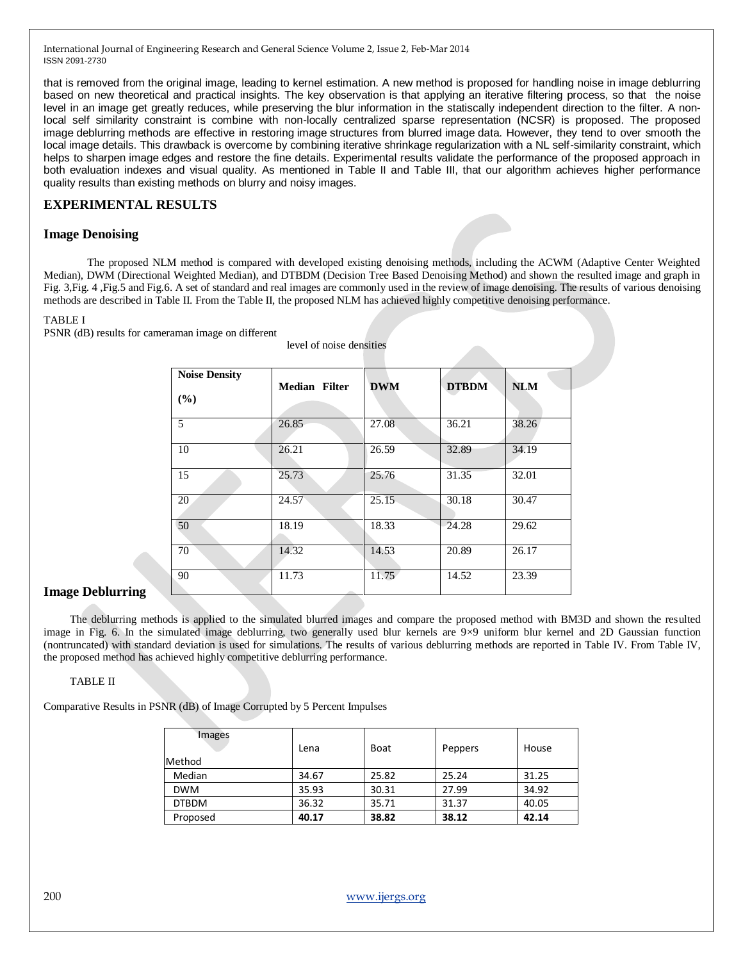that is removed from the original image, leading to kernel estimation. A new method is proposed for handling noise in image deblurring based on new theoretical and practical insights. The key observation is that applying an iterative filtering process, so that the noise level in an image get greatly reduces, while preserving the blur information in the statiscally independent direction to the filter. A nonlocal self similarity constraint is combine with non-locally centralized sparse representation (NCSR) is proposed. The proposed image deblurring methods are effective in restoring image structures from blurred image data. However, they tend to over smooth the local image details. This drawback is overcome by combining iterative shrinkage regularization with a NL self-similarity constraint, which helps to sharpen image edges and restore the fine details. Experimental results validate the performance of the proposed approach in both evaluation indexes and visual quality. As mentioned in Table II and Table III, that our algorithm achieves higher performance quality results than existing methods on blurry and noisy images.

#### **EXPERIMENTAL RESULTS**

#### **Image Denoising**

The proposed NLM method is compared with developed existing denoising methods, including the ACWM (Adaptive Center Weighted Median), DWM (Directional Weighted Median), and DTBDM (Decision Tree Based Denoising Method) and shown the resulted image and graph in Fig. 3,Fig. 4 ,Fig.5 and Fig.6. A set of standard and real images are commonly used in the review of image denoising. The results of various denoising methods are described in Table II. From the Table II, the proposed NLM has achieved highly competitive denoising performance.

level of noise densities

#### TABLE I

PSNR (dB) results for cameraman image on different

| <b>Noise Density</b><br>(%) | <b>Median Filter</b>  | <b>DWM</b> | <b>DTBDM</b> | <b>NLM</b> |
|-----------------------------|-----------------------|------------|--------------|------------|
| 5                           | 26.85                 | 27.08      | 36.21        | 38.26      |
| 10                          | 26.21                 | 26.59      | 32.89        | 34.19      |
| 15                          | 25.73                 | 25.76      | 31.35        | 32.01      |
| 20                          | 24.57                 | 25.15      | 30.18        | 30.47      |
| 50                          | 18.19                 | 18.33      | 24.28        | 29.62      |
| 70                          | 14.32                 | 14.53      | 20.89        | 26.17      |
| 90                          | 11.73<br><b>STARS</b> | 11.75      | 14.52        | 23.39      |

#### **Image Deblurring**

The deblurring methods is applied to the simulated blurred images and compare the proposed method with BM3D and shown the resulted image in Fig. 6. In the simulated image deblurring, two generally used blur kernels are 9×9 uniform blur kernel and 2D Gaussian function (nontruncated) with standard deviation is used for simulations. The results of various deblurring methods are reported in Table IV. From Table IV, the proposed method has achieved highly competitive deblurring performance.

#### TABLE II

Comparative Results in PSNR (dB) of Image Corrupted by 5 Percent Impulses

| Images        |       |       |         |       |
|---------------|-------|-------|---------|-------|
|               | Lena  | Boat  | Peppers | House |
| <b>Method</b> |       |       |         |       |
| Median        | 34.67 | 25.82 | 25.24   | 31.25 |
| <b>DWM</b>    | 35.93 | 30.31 | 27.99   | 34.92 |
| <b>DTBDM</b>  | 36.32 | 35.71 | 31.37   | 40.05 |
| Proposed      | 40.17 | 38.82 | 38.12   | 42.14 |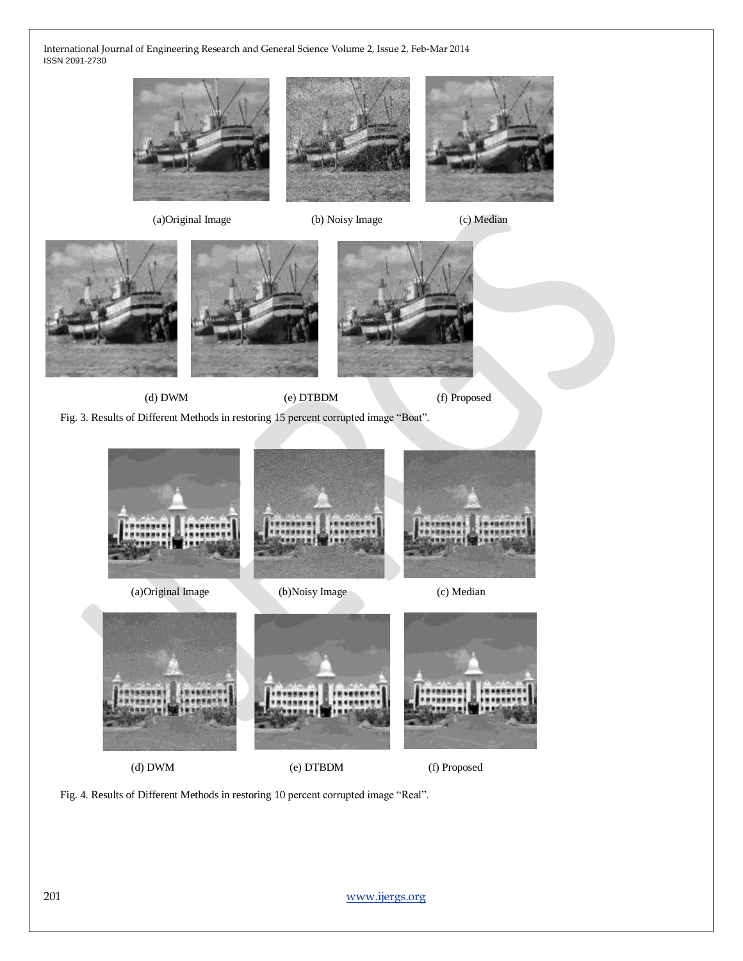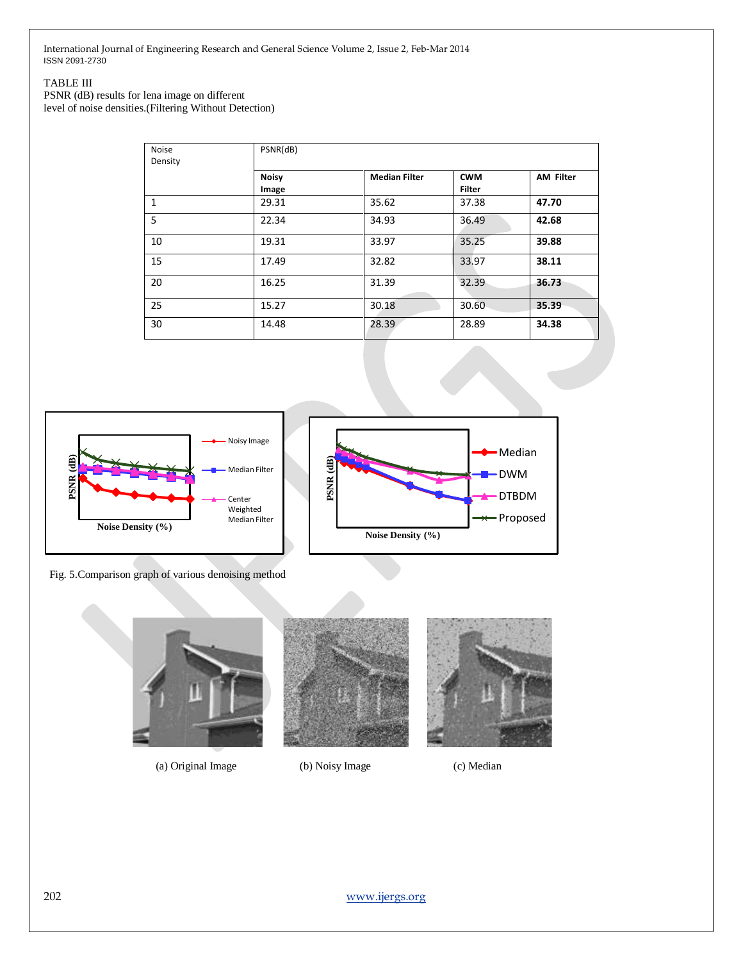#### TABLE III

PSNR (dB) results for lena image on different level of noise densities.(Filtering Without Detection)

| Noise<br>Density | PSNR(dB)              |                      |                             |                  |
|------------------|-----------------------|----------------------|-----------------------------|------------------|
|                  | <b>Noisy</b><br>Image | <b>Median Filter</b> | <b>CWM</b><br><b>Filter</b> | <b>AM Filter</b> |
| 1                | 29.31                 | 35.62                | 37.38                       | 47.70            |
| 5                | 22.34                 | 34.93                | 36.49                       | 42.68            |
| 10               | 19.31                 | 33.97                | 35.25                       | 39.88            |
| 15               | 17.49                 | 32.82                | 33.97                       | 38.11            |
| 20               | 16.25                 | 31.39                | 32.39                       | 36.73            |
| 25               | 15.27                 | 30.18                | 30.60                       | 35.39            |
| 30               | 14.48                 | 28.39                | 28.89                       | 34.38            |





Fig. 5.Comparison graph of various denoising method



(a) Original Image (b) Noisy Image (c) Median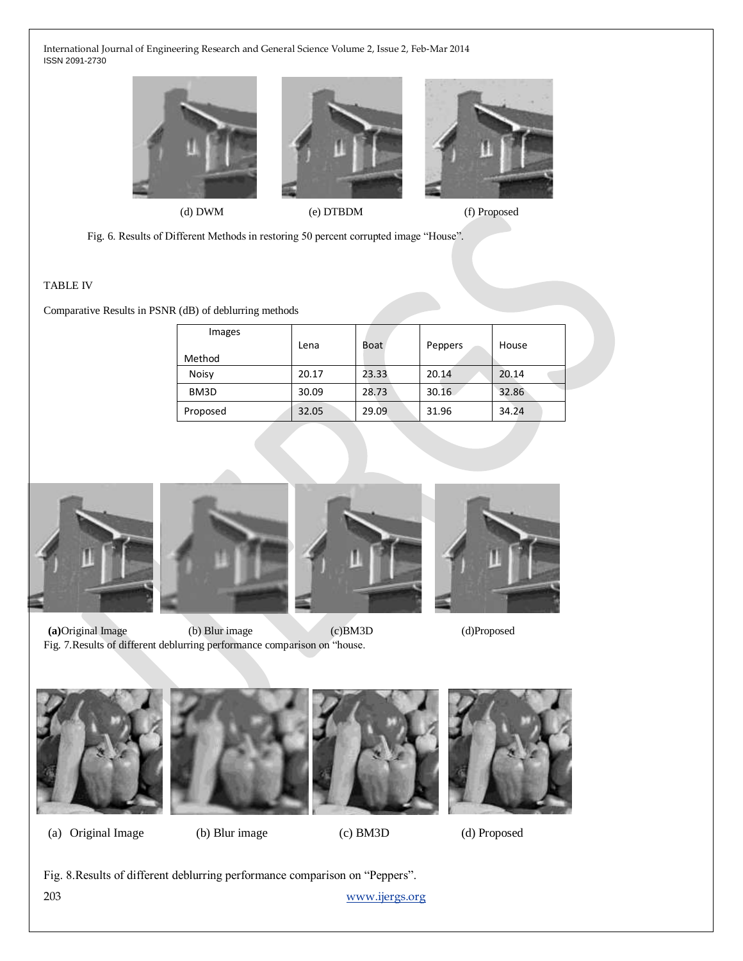

(d) DWM (e) DTBDM (f) Proposed

Fig. 6. Results of Different Methods in restoring 50 percent corrupted image "House".

#### TABLE IV

Comparative Results in PSNR (dB) of deblurring methods

| Images   | Lena  | Boat  | Peppers | House |
|----------|-------|-------|---------|-------|
| Method   |       |       |         |       |
| Noisy    | 20.17 | 23.33 | 20.14   | 20.14 |
| BM3D     | 30.09 | 28.73 | 30.16   | 32.86 |
| Proposed | 32.05 | 29.09 | 31.96   | 34.24 |







**(a)**Original Image (b) Blur image(c)BM3D (d)Proposed Fig. 7.Results of different deblurring performance comparison on "house.